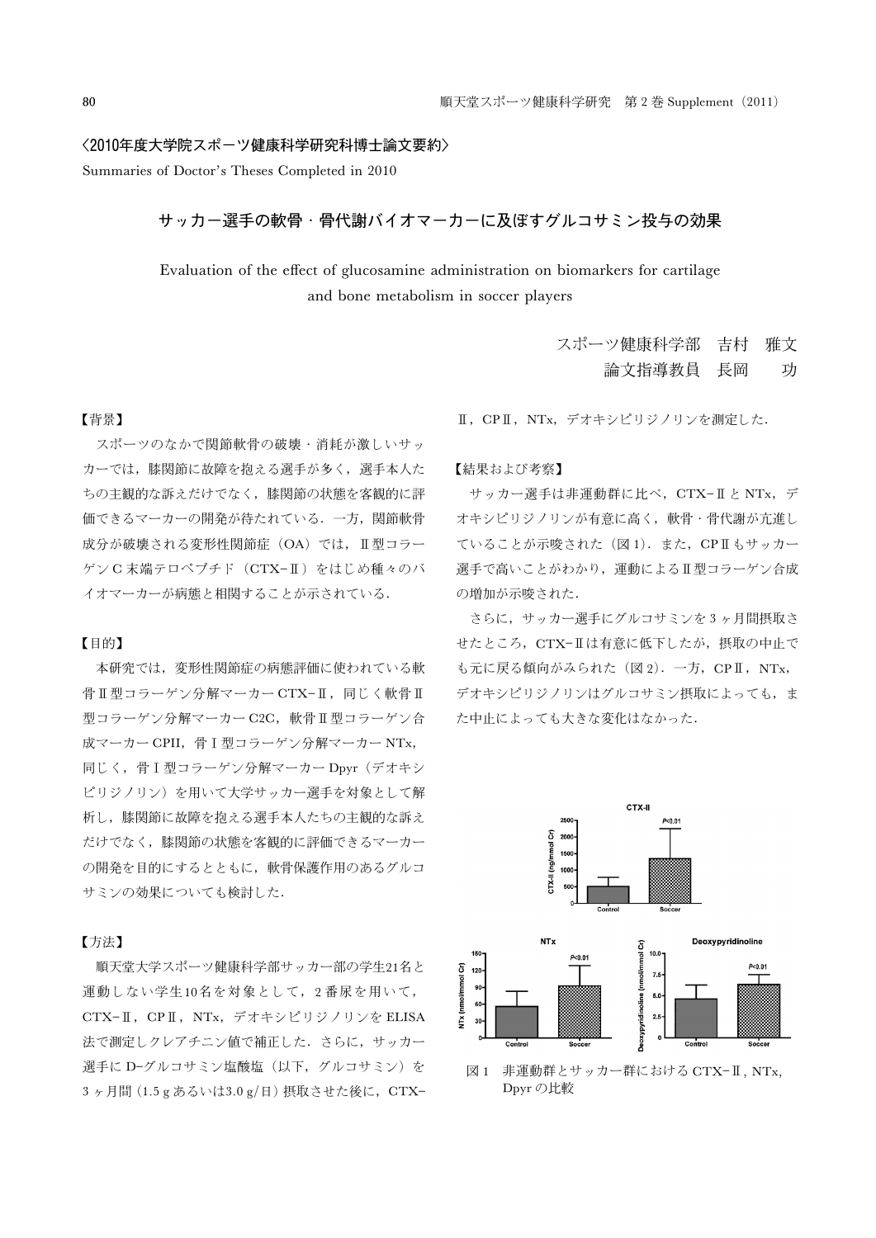### 〈2010年度大学院スポーツ健康科学研究科博士論文要約〉

Summaries of Doctor's Theses Completed in 2010

# サッカー選手の軟骨・骨代謝バイオマーカーに及ぼすグルコサミン投与の効果

Evaluation of the effect of glucosamine administration on biomarkers for cartilage and bone metabolism in soccer players

### 【背景】

スポーツのなかで関節軟骨の破壊・消耗が激しいサッ カーでは,膝関節に故障を抱える選手が多く,選手本人た ちの主観的な訴えだけでなく,膝関節の状態を客観的に評 価できるマーカーの開発が待たれている.一方,関節軟骨 成分が破壊される変形性関節症 (OA) では、 II 型コラー ゲン C 末端テロペプチド (CTX-II) をはじめ種々のバ イオマーカーが病態と相関することが示されている.

#### 【目的】

本研究では,変形性関節症の病態評価に使われている軟 骨Ⅱ型コラーゲン分解マーカー CTX-Ⅱ,同じく軟骨Ⅱ 型コラーゲン分解マーカー C2C, 軟骨 T 型コラーゲン合 成マーカー CPII, 骨 I 型コラーゲン分解マーカー NTx, 同じく、骨I型コラーゲン分解マーカー Dpyr (デオキシ ピリジノリン)を用いて大学サッカー選手を対象として解 析し,膝関節に故障を抱える選手本人たちの主観的な訴え だけでなく,膝関節の状態を客観的に評価できるマーカー の開発を目的にするとともに、軟骨保護作用のあるグルコ サミンの効果についても検討した.

## 【方法】

順天堂大学スポーツ健康科学部サッカー部の学生21名と 運動しない学生10名を対象として、2番尿を用いて, CTX-II, CPII, NTx, デオキシピリジノリンを ELISA 法で測定しクレアチニン値で補正した. さらに、サッカー 選手に D-グルコサミン塩酸塩(以下,グルコサミン)を 3ヶ月間(1.5 g あるいは3.0 g/日)摂取させた後に, CTX- Ⅱ, CPⅡ, NTx, デオキシピリジノリンを測定した.

#### 【結果および考察】

サッカー選手は非運動群に比べ,CTXと NTx,デ オキシピリジノリンが有意に高く,軟骨・骨代謝が亢進し ていることが示唆された (図 1). また, CPILもサッカー 遅手で高いことがわかり、運動によるⅡ型コラーゲン合成 の増加が示唆された.

さらに,サッカー選手にグルコサミンを 3 ヶ月間摂取さ せたところ, CTX-IIは有意に低下したが、摂取の中止で も元に戻る傾向がみられた (図 2). 一方, CPII, NTx, デオキシピリジノリンはグルコサミン摂取によっても,ま た中止によっても大きな変化はなかった.



図1 非運動群とサッカー群における CTX-II, NTx, Dpyr の比較

スポーツ健康科学部 吉村 雅文 論文指導教員 長岡 功